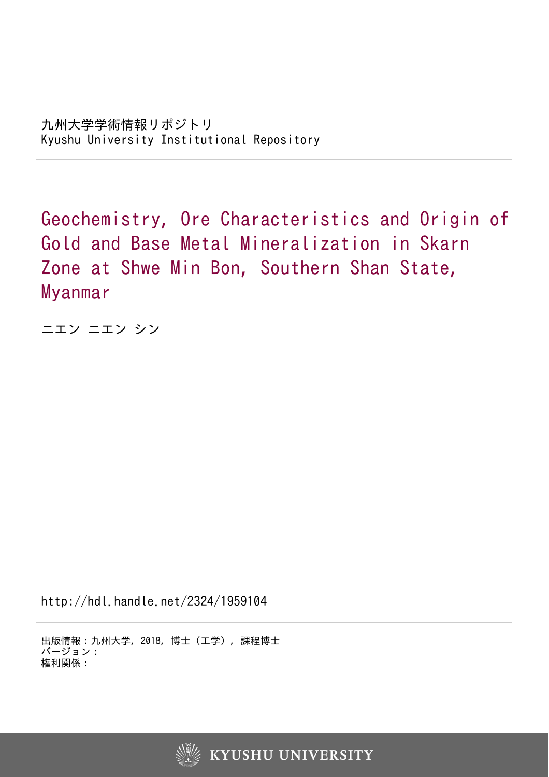Geochemistry, Ore Characteristics and Origin of Gold and Base Metal Mineralization in Skarn Zone at Shwe Min Bon, Southern Shan State, Myanmar

ニエン ニエン シン

http://hdl.handle.net/2324/1959104

出版情報:九州大学, 2018, 博士(工学), 課程博士 バージョン: 権利関係:

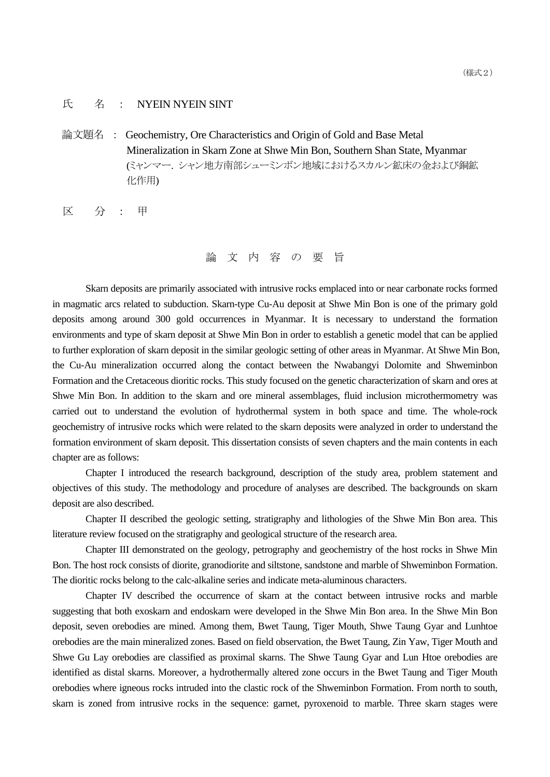## 氏 名 : NYEIN NYEIN SINT

論文題名 : Geochemistry, Ore Characteristics and Origin of Gold and Base Metal Mineralization in Skarn Zone at Shwe Min Bon, Southern Shan State, Myanmar (ミャンマー. シャン地方南部シューミンボン地域におけるスカルン鉱床の金および銅鉱 化作用)

区 分 : 甲

論 文 内 容 の 要 旨

Skarn deposits are primarily associated with intrusive rocks emplaced into or near carbonate rocks formed in magmatic arcs related to subduction. Skarn-type Cu-Au deposit at Shwe Min Bon is one of the primary gold deposits among around 300 gold occurrences in Myanmar. It is necessary to understand the formation environments and type of skarn deposit at Shwe Min Bon in order to establish a genetic model that can be applied to further exploration of skarn deposit in the similar geologic setting of other areas in Myanmar. At Shwe Min Bon, the Cu-Au mineralization occurred along the contact between the Nwabangyi Dolomite and Shweminbon Formation and the Cretaceous dioritic rocks. This study focused on the genetic characterization of skarn and ores at Shwe Min Bon. In addition to the skarn and ore mineral assemblages, fluid inclusion microthermometry was carried out to understand the evolution of hydrothermal system in both space and time. The whole-rock geochemistry of intrusive rocks which were related to the skarn deposits were analyzed in order to understand the formation environment of skarn deposit. This dissertation consists of seven chapters and the main contents in each chapter are as follows:

Chapter I introduced the research background, description of the study area, problem statement and objectives of this study. The methodology and procedure of analyses are described. The backgrounds on skarn deposit are also described.

Chapter II described the geologic setting, stratigraphy and lithologies of the Shwe Min Bon area. This literature review focused on the stratigraphy and geological structure of the research area.

Chapter III demonstrated on the geology, petrography and geochemistry of the host rocks in Shwe Min Bon. The host rock consists of diorite, granodiorite and siltstone, sandstone and marble of Shweminbon Formation. The dioritic rocks belong to the calc-alkaline series and indicate meta-aluminous characters.

Chapter IV described the occurrence of skarn at the contact between intrusive rocks and marble suggesting that both exoskarn and endoskarn were developed in the Shwe Min Bon area. In the Shwe Min Bon deposit, seven orebodies are mined. Among them, Bwet Taung, Tiger Mouth, Shwe Taung Gyar and Lunhtoe orebodies are the main mineralized zones. Based on field observation, the Bwet Taung, Zin Yaw, Tiger Mouth and Shwe Gu Lay orebodies are classified as proximal skarns. The Shwe Taung Gyar and Lun Htoe orebodies are identified as distal skarns. Moreover, a hydrothermally altered zone occurs in the Bwet Taung and Tiger Mouth orebodies where igneous rocks intruded into the clastic rock of the Shweminbon Formation. From north to south, skarn is zoned from intrusive rocks in the sequence: garnet, pyroxenoid to marble. Three skarn stages were